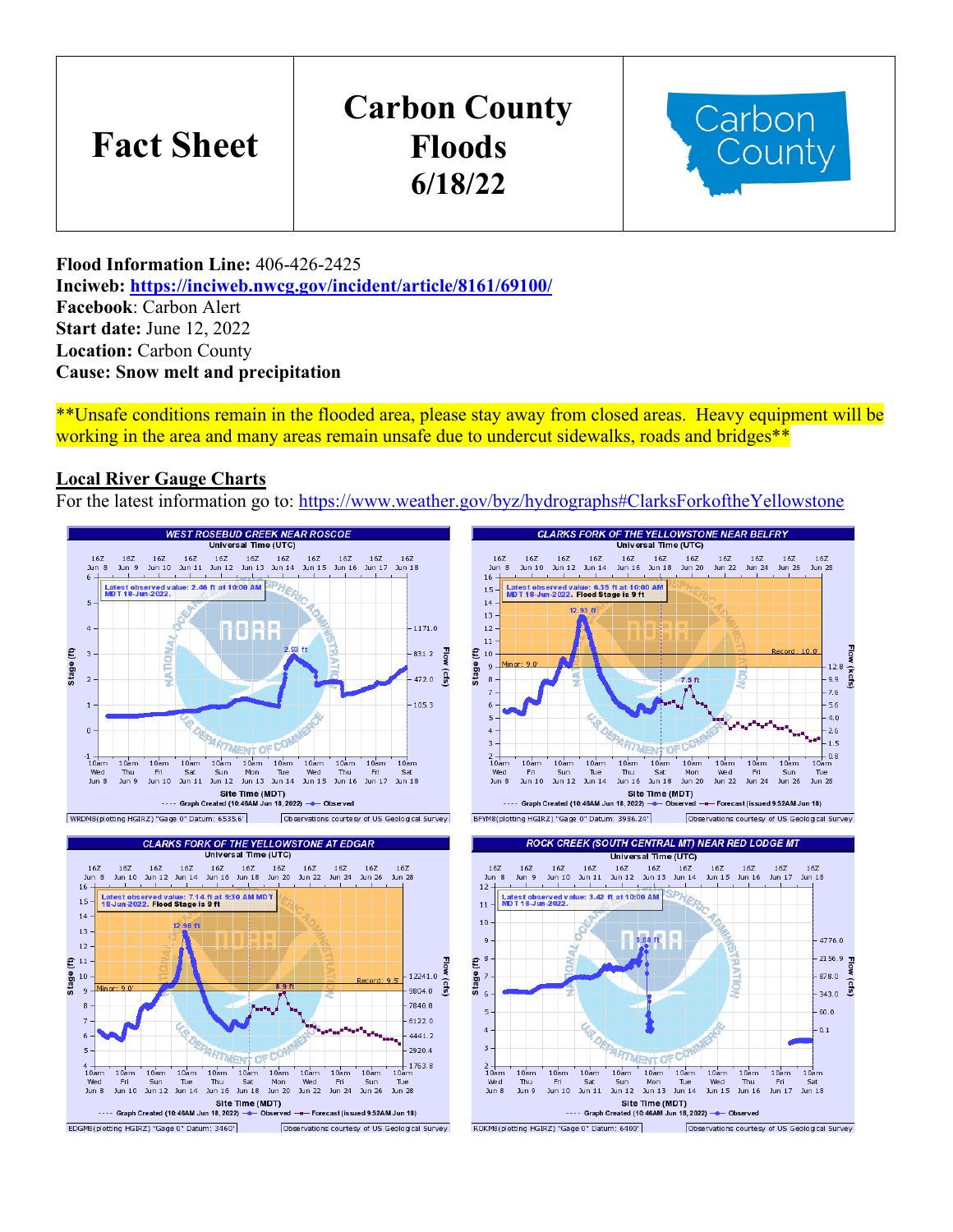# **Fact Sheet**

# **Carbon County Floods 6/18/22**



**Flood Information Line:** 406-426-2425 **Inciweb:<https://inciweb.nwcg.gov/incident/article/8161/69100/> Facebook**: Carbon Alert **Start date:** June 12, 2022 **Location:** Carbon County **Cause: Snow melt and precipitation**

\*\*Unsafe conditions remain in the flooded area, please stay away from closed areas. Heavy equipment will be working in the area and many areas remain unsafe due to undercut sidewalks, roads and bridges\*\*

### **Local River Gauge Charts**

For the latest information go to:<https://www.weather.gov/byz/hydrographs#ClarksForkoftheYellowstone>

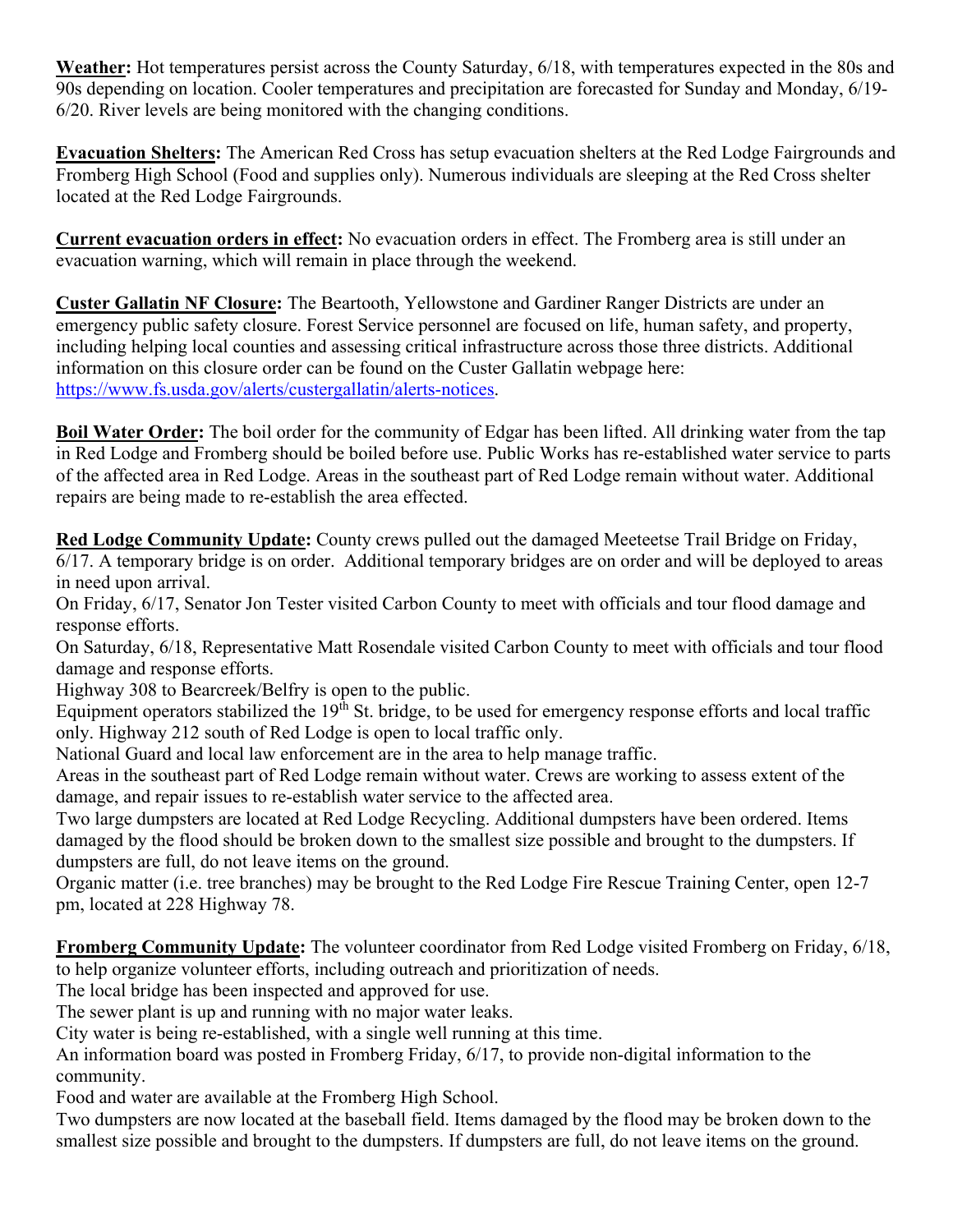**Weather:** Hot temperatures persist across the County Saturday, 6/18, with temperatures expected in the 80s and 90s depending on location. Cooler temperatures and precipitation are forecasted for Sunday and Monday, 6/19- 6/20. River levels are being monitored with the changing conditions.

**Evacuation Shelters:** The American Red Cross has setup evacuation shelters at the Red Lodge Fairgrounds and Fromberg High School (Food and supplies only). Numerous individuals are sleeping at the Red Cross shelter located at the Red Lodge Fairgrounds.

**Current evacuation orders in effect:** No evacuation orders in effect. The Fromberg area is still under an evacuation warning, which will remain in place through the weekend.

**Custer Gallatin NF Closure:** The Beartooth, Yellowstone and Gardiner Ranger Districts are under an emergency public safety closure. Forest Service personnel are focused on life, human safety, and property, including helping local counties and assessing critical infrastructure across those three districts. Additional information on this closure order can be found on the Custer Gallatin webpage here: [https://www.fs.usda.gov/alerts/custergallatin/alerts-notices.](https://www.fs.usda.gov/alerts/custergallatin/alerts-notices)

**Boil Water Order:** The boil order for the community of Edgar has been lifted. All drinking water from the tap in Red Lodge and Fromberg should be boiled before use. Public Works has re-established water service to parts of the affected area in Red Lodge. Areas in the southeast part of Red Lodge remain without water. Additional repairs are being made to re-establish the area effected.

**Red Lodge Community Update:** County crews pulled out the damaged Meeteetse Trail Bridge on Friday, 6/17. A temporary bridge is on order. Additional temporary bridges are on order and will be deployed to areas in need upon arrival.

On Friday, 6/17, Senator Jon Tester visited Carbon County to meet with officials and tour flood damage and response efforts.

On Saturday, 6/18, Representative Matt Rosendale visited Carbon County to meet with officials and tour flood damage and response efforts.

Highway 308 to Bearcreek/Belfry is open to the public.

Equipment operators stabilized the  $19<sup>th</sup>$  St. bridge, to be used for emergency response efforts and local traffic only. Highway 212 south of Red Lodge is open to local traffic only.

National Guard and local law enforcement are in the area to help manage traffic.

Areas in the southeast part of Red Lodge remain without water. Crews are working to assess extent of the damage, and repair issues to re-establish water service to the affected area.

Two large dumpsters are located at Red Lodge Recycling. Additional dumpsters have been ordered. Items damaged by the flood should be broken down to the smallest size possible and brought to the dumpsters. If dumpsters are full, do not leave items on the ground.

Organic matter (i.e. tree branches) may be brought to the Red Lodge Fire Rescue Training Center, open 12-7 pm, located at 228 Highway 78.

**Fromberg Community Update:** The volunteer coordinator from Red Lodge visited Fromberg on Friday, 6/18, to help organize volunteer efforts, including outreach and prioritization of needs.

The local bridge has been inspected and approved for use.

The sewer plant is up and running with no major water leaks.

City water is being re-established, with a single well running at this time.

An information board was posted in Fromberg Friday, 6/17, to provide non-digital information to the community.

Food and water are available at the Fromberg High School.

Two dumpsters are now located at the baseball field. Items damaged by the flood may be broken down to the smallest size possible and brought to the dumpsters. If dumpsters are full, do not leave items on the ground.